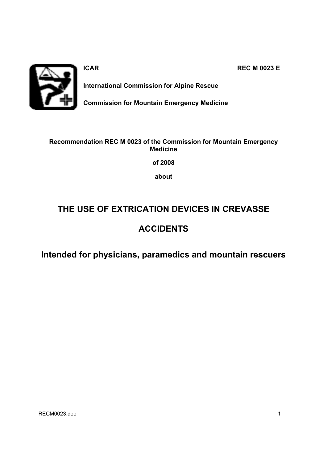

**ICAR REC M 0023 E** 

**International Commission for Alpine Rescue** 

**Commission for Mountain Emergency Medicine** 

### **Recommendation REC M 0023 of the Commission for Mountain Emergency Medicine**

**of 2008** 

**about** 

# **THE USE OF EXTRICATION DEVICES IN CREVASSE**

## **ACCIDENTS**

**Intended for physicians, paramedics and mountain rescuers**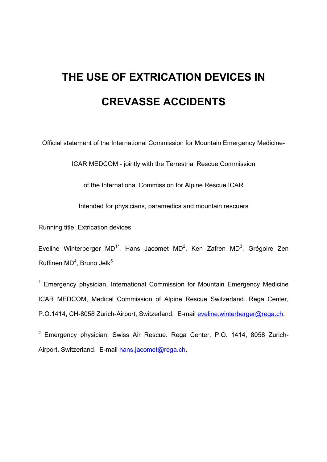# **THE USE OF EXTRICATION DEVICES IN CREVASSE ACCIDENTS**

Official statement of the International Commission for Mountain Emergency Medicine-

ICAR MEDCOM - jointly with the Terrestrial Rescue Commission

of the International Commission for Alpine Rescue ICAR

Intended for physicians, paramedics and mountain rescuers

Running title: Extrication devices

Eveline Winterberger MD<sup>1\*</sup>, Hans Jacomet MD<sup>2</sup>, Ken Zafren MD<sup>3</sup>, Grégoire Zen Ruffinen MD<sup>4</sup>, Bruno Jelk<sup>5</sup>

<sup>1</sup> Emergency physician, International Commission for Mountain Emergency Medicine ICAR MEDCOM, Medical Commission of Alpine Rescue Switzerland. Rega Center, P.O.1414, CH-8058 Zurich-Airport, Switzerland. E-mail eveline.winterberger@rega.ch.

<sup>2</sup> Emergency physician, Swiss Air Rescue. Rega Center, P.O. 1414, 8058 Zurich-Airport, Switzerland. E-mail hans.jacomet@rega.ch.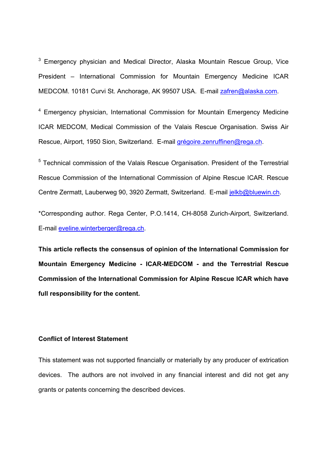<sup>3</sup> Emergency physician and Medical Director, Alaska Mountain Rescue Group, Vice President – International Commission for Mountain Emergency Medicine ICAR MEDCOM. 10181 Curvi St. Anchorage, AK 99507 USA. E-mail zafren@alaska.com.

<sup>4</sup> Emergency physician, International Commission for Mountain Emergency Medicine ICAR MEDCOM, Medical Commission of the Valais Rescue Organisation. Swiss Air Rescue, Airport, 1950 Sion, Switzerland. E-mail grégoire.zenruffinen@rega.ch.

<sup>5</sup> Technical commission of the Valais Rescue Organisation. President of the Terrestrial Rescue Commission of the International Commission of Alpine Rescue ICAR. Rescue Centre Zermatt, Lauberweg 90, 3920 Zermatt, Switzerland. E-mail jelkb@bluewin.ch.

\*Corresponding author. Rega Center, P.O.1414, CH-8058 Zurich-Airport, Switzerland. E-mail eveline.winterberger@rega.ch.

**This article reflects the consensus of opinion of the International Commission for Mountain Emergency Medicine - ICAR-MEDCOM - and the Terrestrial Rescue Commission of the International Commission for Alpine Rescue ICAR which have full responsibility for the content.** 

#### **Conflict of Interest Statement**

This statement was not supported financially or materially by any producer of extrication devices. The authors are not involved in any financial interest and did not get any grants or patents concerning the described devices.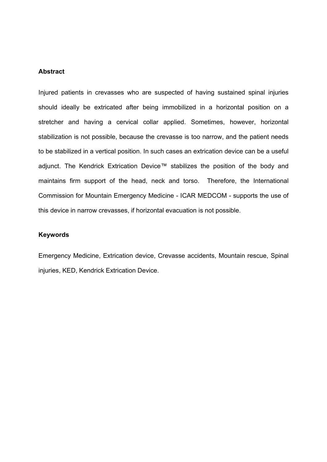#### **Abstract**

Injured patients in crevasses who are suspected of having sustained spinal injuries should ideally be extricated after being immobilized in a horizontal position on a stretcher and having a cervical collar applied. Sometimes, however, horizontal stabilization is not possible, because the crevasse is too narrow, and the patient needs to be stabilized in a vertical position. In such cases an extrication device can be a useful adjunct. The Kendrick Extrication Device™ stabilizes the position of the body and maintains firm support of the head, neck and torso. Therefore, the International Commission for Mountain Emergency Medicine - ICAR MEDCOM - supports the use of this device in narrow crevasses, if horizontal evacuation is not possible.

#### **Keywords**

Emergency Medicine, Extrication device, Crevasse accidents, Mountain rescue, Spinal injuries, KED, Kendrick Extrication Device.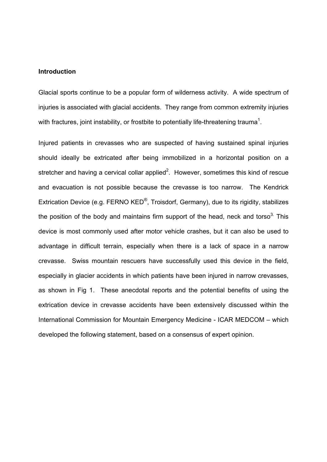#### **Introduction**

Glacial sports continue to be a popular form of wilderness activity. A wide spectrum of injuries is associated with glacial accidents. They range from common extremity injuries with fractures, joint instability, or frostbite to potentially life-threatening trauma<sup>1</sup>.

Injured patients in crevasses who are suspected of having sustained spinal injuries should ideally be extricated after being immobilized in a horizontal position on a stretcher and having a cervical collar applied<sup>2</sup>. However, sometimes this kind of rescue and evacuation is not possible because the crevasse is too narrow. The Kendrick Extrication Device (e.g. FERNO KED®, Troisdorf, Germany), due to its rigidity, stabilizes the position of the body and maintains firm support of the head, neck and torso<sup>3.</sup> This device is most commonly used after motor vehicle crashes, but it can also be used to advantage in difficult terrain, especially when there is a lack of space in a narrow crevasse. Swiss mountain rescuers have successfully used this device in the field, especially in glacier accidents in which patients have been injured in narrow crevasses, as shown in Fig 1. These anecdotal reports and the potential benefits of using the extrication device in crevasse accidents have been extensively discussed within the International Commission for Mountain Emergency Medicine - ICAR MEDCOM – which developed the following statement, based on a consensus of expert opinion.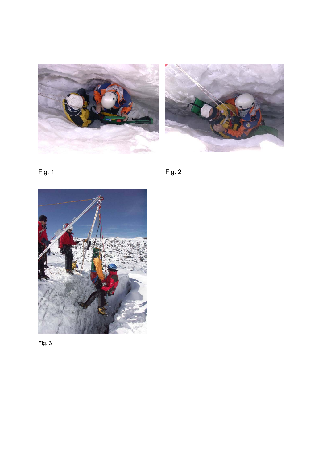







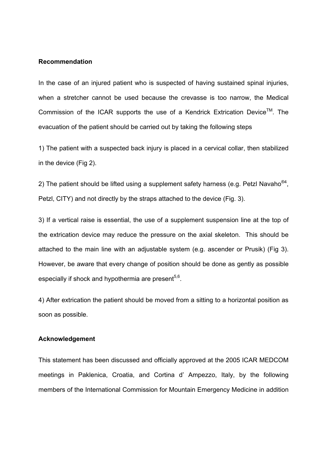#### **Recommendation**

In the case of an injured patient who is suspected of having sustained spinal injuries, when a stretcher cannot be used because the crevasse is too narrow, the Medical Commission of the ICAR supports the use of a Kendrick Extrication Device<sup>TM</sup>. The evacuation of the patient should be carried out by taking the following steps

1) The patient with a suspected back injury is placed in a cervical collar, then stabilized in the device (Fig 2).

2) The patient should be lifted using a supplement safety harness (e.g. Petzl Navaho $^{\otimes 4}$ , Petzl, CITY) and not directly by the straps attached to the device (Fig. 3).

3) If a vertical raise is essential, the use of a supplement suspension line at the top of the extrication device may reduce the pressure on the axial skeleton. This should be attached to the main line with an adjustable system (e.g. ascender or Prusik) (Fig 3). However, be aware that every change of position should be done as gently as possible especially if shock and hypothermia are present<sup>5,6</sup>.

4) After extrication the patient should be moved from a sitting to a horizontal position as soon as possible.

#### **Acknowledgement**

This statement has been discussed and officially approved at the 2005 ICAR MEDCOM meetings in Paklenica, Croatia, and Cortina d' Ampezzo, Italy, by the following members of the International Commission for Mountain Emergency Medicine in addition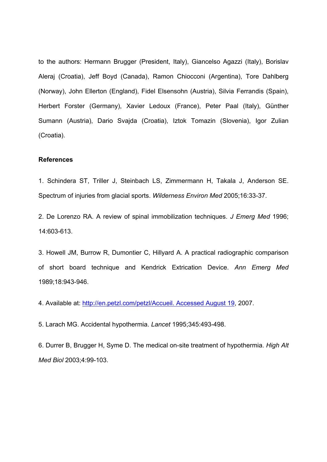to the authors: Hermann Brugger (President, Italy), Giancelso Agazzi (Italy), Borislav Aleraj (Croatia), Jeff Boyd (Canada), Ramon Chiocconi (Argentina), Tore Dahlberg (Norway), John Ellerton (England), Fidel Elsensohn (Austria), Silvia Ferrandis (Spain), Herbert Forster (Germany), Xavier Ledoux (France), Peter Paal (Italy), Günther Sumann (Austria), Dario Svajda (Croatia), Iztok Tomazin (Slovenia), Igor Zulian (Croatia).

#### **References**

1. Schindera ST, Triller J, Steinbach LS, Zimmermann H, Takala J, Anderson SE. Spectrum of injuries from glacial sports. *Wilderness Environ Med* 2005;16:33-37.

2. De Lorenzo RA. A review of spinal immobilization techniques. *J Emerg Med* 1996; 14:603-613.

3. Howell JM, Burrow R, Dumontier C, Hillyard A. A practical radiographic comparison of short board technique and Kendrick Extrication Device. *Ann Emerg Med* 1989;18:943-946.

4. Available at: http://en.petzl.com/petzl/Accueil. Accessed August 19, 2007.

5. Larach MG. Accidental hypothermia. *Lancet* 1995;345:493-498.

6. Durrer B, Brugger H, Syme D. The medical on-site treatment of hypothermia. *High Alt Med Biol* 2003;4:99-103.